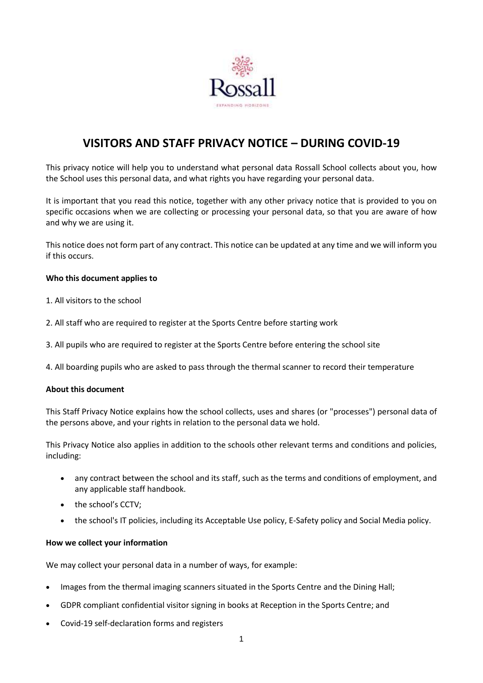

# **VISITORS AND STAFF PRIVACY NOTICE – DURING COVID-19**

This privacy notice will help you to understand what personal data Rossall School collects about you, how the School uses this personal data, and what rights you have regarding your personal data.

It is important that you read this notice, together with any other privacy notice that is provided to you on specific occasions when we are collecting or processing your personal data, so that you are aware of how and why we are using it.

This notice does not form part of any contract. This notice can be updated at any time and we will inform you if this occurs.

#### **Who this document applies to**

- 1. All visitors to the school
- 2. All staff who are required to register at the Sports Centre before starting work
- 3. All pupils who are required to register at the Sports Centre before entering the school site

4. All boarding pupils who are asked to pass through the thermal scanner to record their temperature

#### **About this document**

This Staff Privacy Notice explains how the school collects, uses and shares (or "processes") personal data of the persons above, and your rights in relation to the personal data we hold.

This Privacy Notice also applies in addition to the schools other relevant terms and conditions and policies, including:

- any contract between the school and its staff, such as the terms and conditions of employment, and any applicable staff handbook.
- the school's CCTV:
- the school's IT policies, including its Acceptable Use policy, E-Safety policy and Social Media policy.

#### **How we collect your information**

We may collect your personal data in a number of ways, for example:

- Images from the thermal imaging scanners situated in the Sports Centre and the Dining Hall;
- GDPR compliant confidential visitor signing in books at Reception in the Sports Centre; and
- Covid-19 self-declaration forms and registers